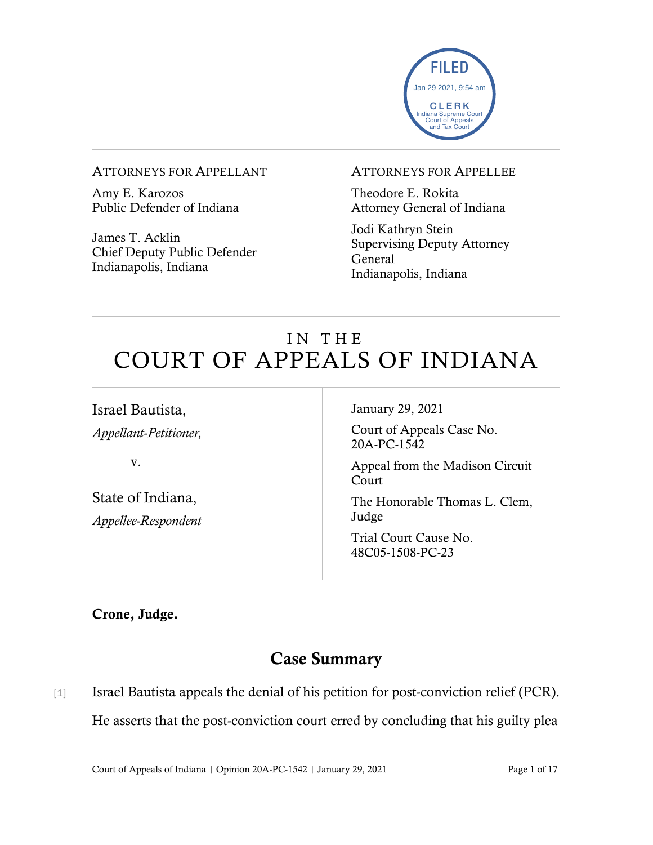

### ATTORNEYS FOR APPELLANT

Amy E. Karozos Public Defender of Indiana

James T. Acklin Chief Deputy Public Defender Indianapolis, Indiana

#### ATTORNEYS FOR APPELLEE

Theodore E. Rokita Attorney General of Indiana

Jodi Kathryn Stein Supervising Deputy Attorney General Indianapolis, Indiana

# IN THE COURT OF APPEALS OF INDIANA

Israel Bautista, *Appellant-Petitioner,*

v.

State of Indiana, *Appellee-Respondent* January 29, 2021

Court of Appeals Case No. 20A-PC-1542

Appeal from the Madison Circuit Court

The Honorable Thomas L. Clem, Judge

Trial Court Cause No. 48C05-1508-PC-23

Crone, Judge.

# Case Summary

[1] Israel Bautista appeals the denial of his petition for post-conviction relief (PCR). He asserts that the post-conviction court erred by concluding that his guilty plea

Court of Appeals of Indiana | Opinion 20A-PC-1542 | January 29, 2021 Page 1 of 17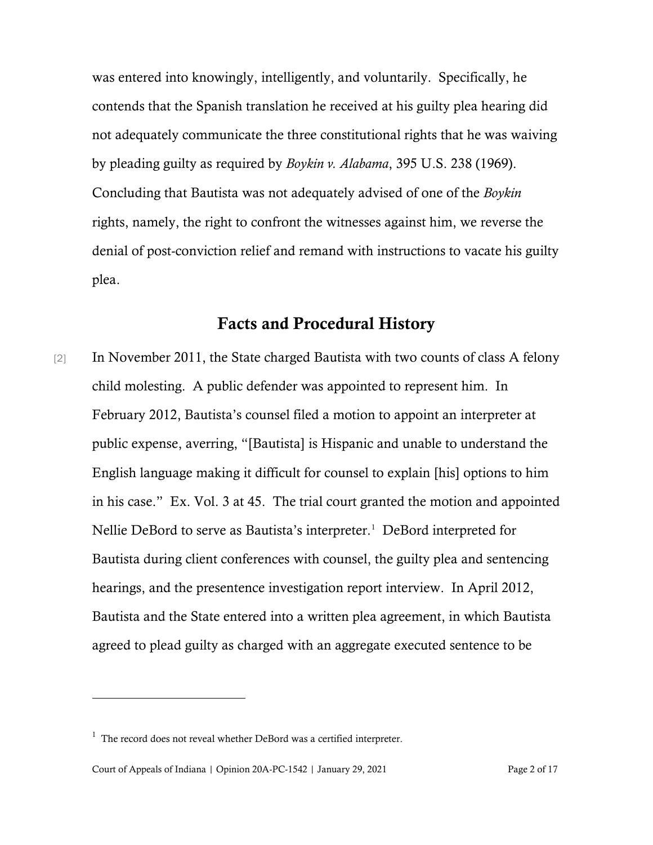was entered into knowingly, intelligently, and voluntarily. Specifically, he contends that the Spanish translation he received at his guilty plea hearing did not adequately communicate the three constitutional rights that he was waiving by pleading guilty as required by *Boykin v. Alabama*, 395 U.S. 238 (1969). Concluding that Bautista was not adequately advised of one of the *Boykin* rights, namely, the right to confront the witnesses against him, we reverse the denial of post-conviction relief and remand with instructions to vacate his guilty plea.

### Facts and Procedural History

[2] In November 2011, the State charged Bautista with two counts of class A felony child molesting. A public defender was appointed to represent him. In February 2012, Bautista's counsel filed a motion to appoint an interpreter at public expense, averring, "[Bautista] is Hispanic and unable to understand the English language making it difficult for counsel to explain [his] options to him in his case." Ex. Vol. 3 at 45. The trial court granted the motion and appointed Nellie DeBord to serve as Bautista's interpreter.<sup>[1](#page-1-0)</sup> DeBord interpreted for Bautista during client conferences with counsel, the guilty plea and sentencing hearings, and the presentence investigation report interview. In April 2012, Bautista and the State entered into a written plea agreement, in which Bautista agreed to plead guilty as charged with an aggregate executed sentence to be

<span id="page-1-0"></span> $1$  The record does not reveal whether DeBord was a certified interpreter.

Court of Appeals of Indiana | Opinion 20A-PC-1542 | January 29, 2021 Page 2 of 17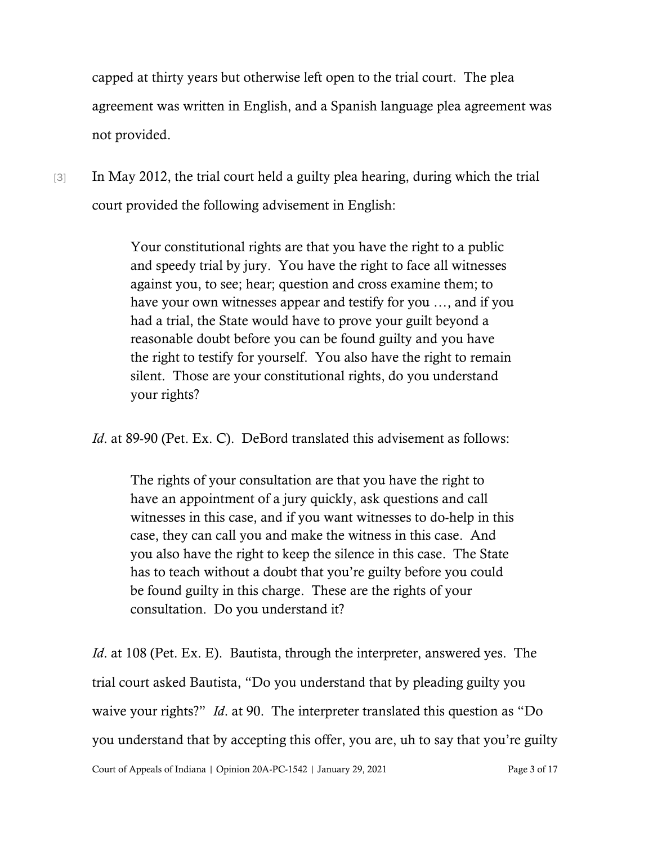capped at thirty years but otherwise left open to the trial court. The plea agreement was written in English, and a Spanish language plea agreement was not provided.

[3] In May 2012, the trial court held a guilty plea hearing, during which the trial court provided the following advisement in English:

> Your constitutional rights are that you have the right to a public and speedy trial by jury. You have the right to face all witnesses against you, to see; hear; question and cross examine them; to have your own witnesses appear and testify for you …, and if you had a trial, the State would have to prove your guilt beyond a reasonable doubt before you can be found guilty and you have the right to testify for yourself. You also have the right to remain silent. Those are your constitutional rights, do you understand your rights?

*Id.* at 89-90 (Pet. Ex. C). DeBord translated this advisement as follows:

The rights of your consultation are that you have the right to have an appointment of a jury quickly, ask questions and call witnesses in this case, and if you want witnesses to do-help in this case, they can call you and make the witness in this case. And you also have the right to keep the silence in this case. The State has to teach without a doubt that you're guilty before you could be found guilty in this charge. These are the rights of your consultation. Do you understand it?

Court of Appeals of Indiana | Opinion 20A-PC-1542 | January 29, 2021 Page 3 of 17 *Id.* at 108 (Pet. Ex. E). Bautista, through the interpreter, answered yes. The trial court asked Bautista, "Do you understand that by pleading guilty you waive your rights?" *Id*. at 90. The interpreter translated this question as "Do you understand that by accepting this offer, you are, uh to say that you're guilty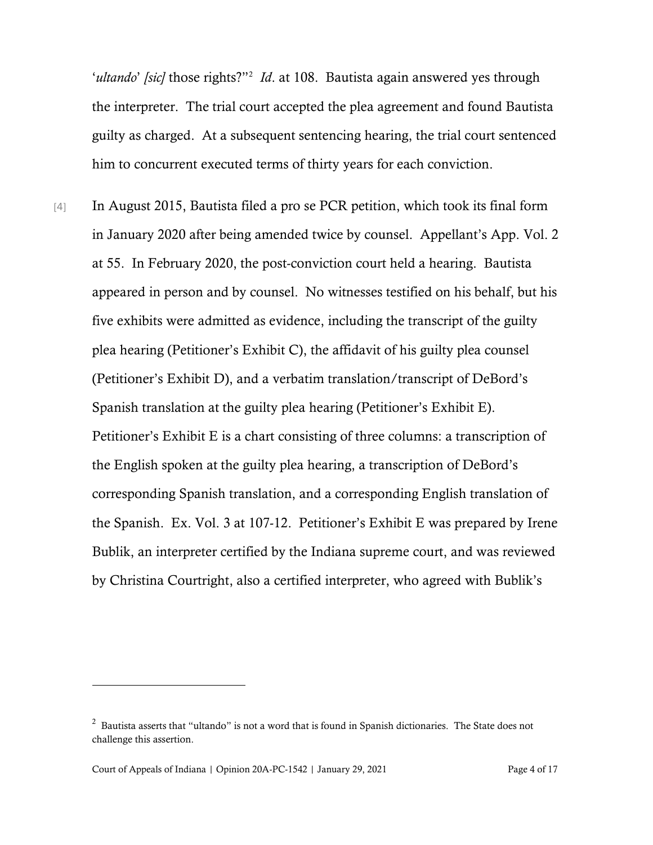'ultando' [sic] those rights?"<sup>[2](#page-3-0)</sup> Id. at 108. Bautista again answered yes through the interpreter. The trial court accepted the plea agreement and found Bautista guilty as charged. At a subsequent sentencing hearing, the trial court sentenced him to concurrent executed terms of thirty years for each conviction.

[4] In August 2015, Bautista filed a pro se PCR petition, which took its final form in January 2020 after being amended twice by counsel. Appellant's App. Vol. 2 at 55. In February 2020, the post-conviction court held a hearing. Bautista appeared in person and by counsel. No witnesses testified on his behalf, but his five exhibits were admitted as evidence, including the transcript of the guilty plea hearing (Petitioner's Exhibit C), the affidavit of his guilty plea counsel (Petitioner's Exhibit D), and a verbatim translation/transcript of DeBord's Spanish translation at the guilty plea hearing (Petitioner's Exhibit E). Petitioner's Exhibit E is a chart consisting of three columns: a transcription of the English spoken at the guilty plea hearing, a transcription of DeBord's corresponding Spanish translation, and a corresponding English translation of the Spanish. Ex. Vol. 3 at 107-12. Petitioner's Exhibit E was prepared by Irene Bublik, an interpreter certified by the Indiana supreme court, and was reviewed by Christina Courtright, also a certified interpreter, who agreed with Bublik's

<span id="page-3-0"></span> $2$  Bautista asserts that "ultando" is not a word that is found in Spanish dictionaries. The State does not challenge this assertion.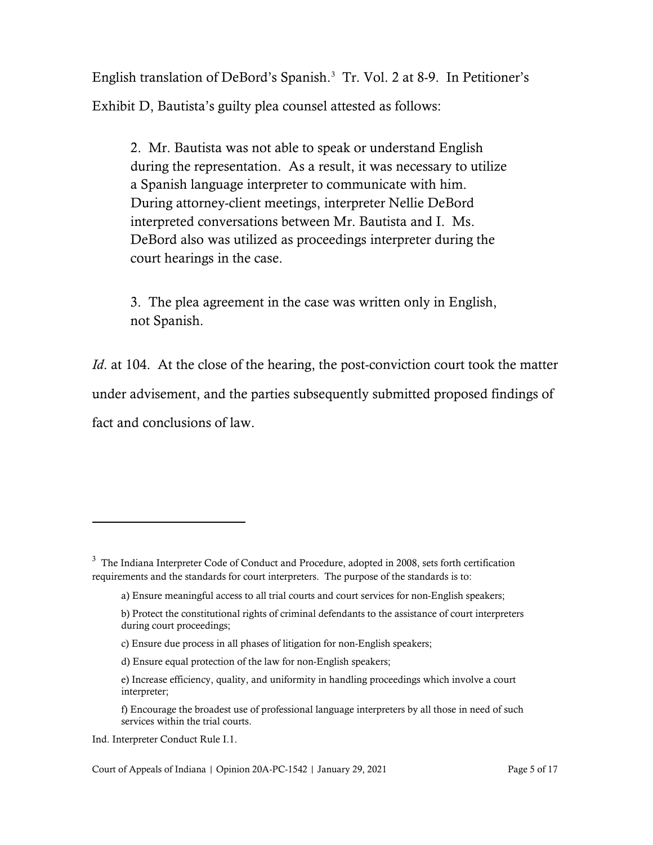English translation of DeBord's Spanish. [3](#page-4-0) Tr. Vol. 2 at 8-9. In Petitioner's Exhibit D, Bautista's guilty plea counsel attested as follows:

2. Mr. Bautista was not able to speak or understand English during the representation. As a result, it was necessary to utilize a Spanish language interpreter to communicate with him. During attorney-client meetings, interpreter Nellie DeBord interpreted conversations between Mr. Bautista and I. Ms. DeBord also was utilized as proceedings interpreter during the court hearings in the case.

3. The plea agreement in the case was written only in English, not Spanish.

*Id.* at 104. At the close of the hearing, the post-conviction court took the matter under advisement, and the parties subsequently submitted proposed findings of fact and conclusions of law.

<span id="page-4-0"></span> $3$  The Indiana Interpreter Code of Conduct and Procedure, adopted in 2008, sets forth certification requirements and the standards for court interpreters. The purpose of the standards is to:

a) Ensure meaningful access to all trial courts and court services for non-English speakers;

b) Protect the constitutional rights of criminal defendants to the assistance of court interpreters during court proceedings;

c) Ensure due process in all phases of litigation for non-English speakers;

d) Ensure equal protection of the law for non-English speakers;

e) Increase efficiency, quality, and uniformity in handling proceedings which involve a court interpreter;

f) Encourage the broadest use of professional language interpreters by all those in need of such services within the trial courts.

Ind. Interpreter Conduct Rule I.1.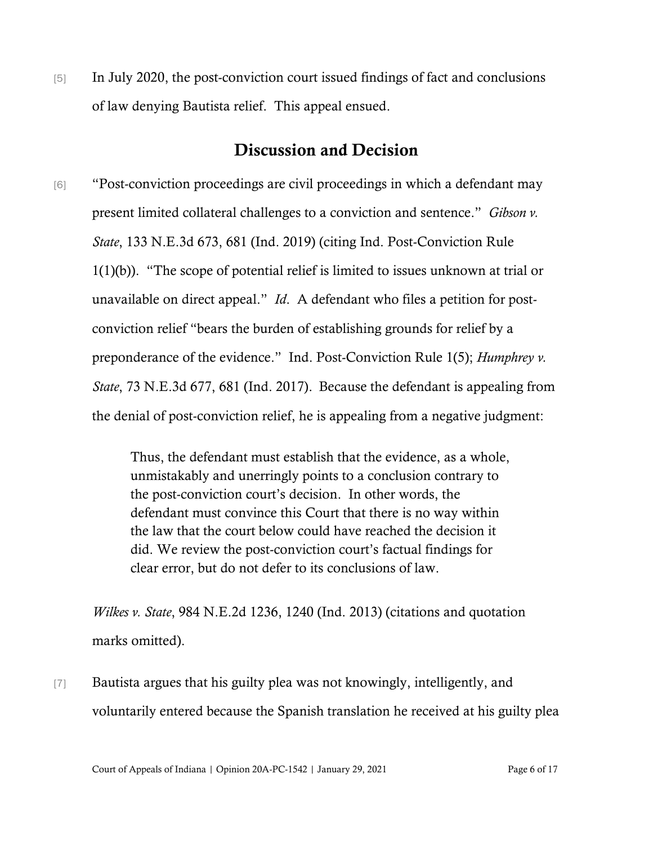[5] In July 2020, the post-conviction court issued findings of fact and conclusions of law denying Bautista relief. This appeal ensued.

## Discussion and Decision

[6] "Post-conviction proceedings are civil proceedings in which a defendant may present limited collateral challenges to a conviction and sentence." *Gibson v. State*, 133 N.E.3d 673, 681 (Ind. 2019) (citing Ind. Post-Conviction Rule 1(1)(b)). "The scope of potential relief is limited to issues unknown at trial or unavailable on direct appeal." *Id*. A defendant who files a petition for postconviction relief "bears the burden of establishing grounds for relief by a preponderance of the evidence." Ind. Post-Conviction Rule 1(5); *Humphrey v. State*, 73 N.E.3d 677, 681 (Ind. 2017).Because the defendant is appealing from the denial of post-conviction relief, he is appealing from a negative judgment:

> Thus, the defendant must establish that the evidence, as a whole, unmistakably and unerringly points to a conclusion contrary to the post-conviction court's decision. In other words, the defendant must convince this Court that there is no way within the law that the court below could have reached the decision it did. We review the post-conviction court's factual findings for clear error, but do not defer to its conclusions of law.

*Wilkes v. State*, 984 N.E.2d 1236, 1240 (Ind. 2013) (citations and quotation marks omitted).

[7] Bautista argues that his guilty plea was not knowingly, intelligently, and voluntarily entered because the Spanish translation he received at his guilty plea

Court of Appeals of Indiana | Opinion 20A-PC-1542 | January 29, 2021 Page 6 of 17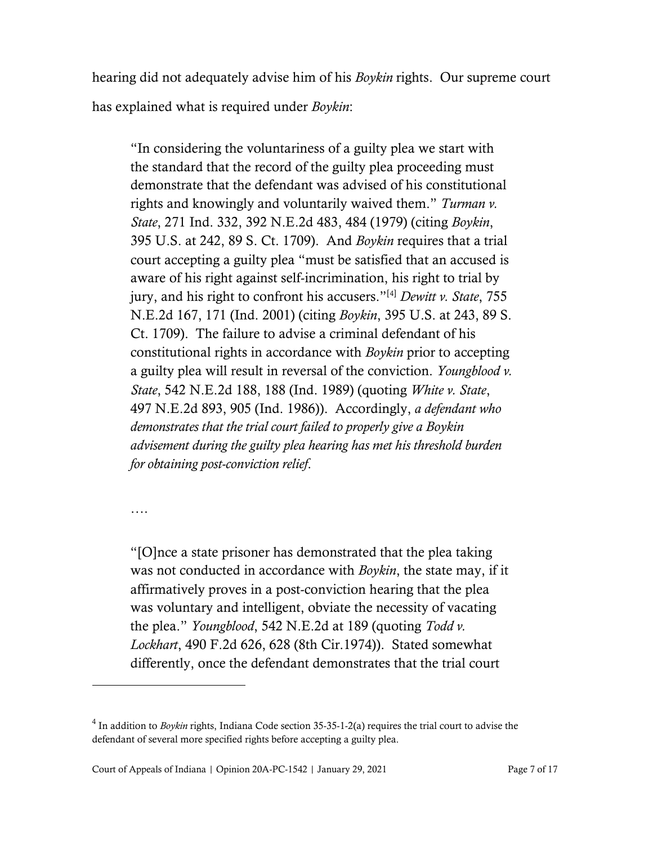hearing did not adequately advise him of his *Boykin* rights. Our supreme court has explained what is required under *Boykin*:

"In considering the voluntariness of a guilty plea we start with the standard that the record of the guilty plea proceeding must demonstrate that the defendant was advised of his constitutional rights and knowingly and voluntarily waived them." *Turman v. State*, 271 Ind. 332, 392 N.E.2d 483, 484 (1979) (citing *Boykin*, 395 U.S. at 242, 89 S. Ct. 1709). And *Boykin* requires that a trial court accepting a guilty plea "must be satisfied that an accused is aware of his right against self-incrimination, his right to trial by jury, and his right to confront his accusers."[[4](#page-6-0)] *Dewitt v. State*, 755 N.E.2d 167, 171 (Ind. 2001) (citing *Boykin*, 395 U.S. at 243, 89 S. Ct. 1709). The failure to advise a criminal defendant of his constitutional rights in accordance with *Boykin* prior to accepting a guilty plea will result in reversal of the conviction. *Youngblood v. State*, 542 N.E.2d 188, 188 (Ind. 1989) (quoting *White v. State*, 497 N.E.2d 893, 905 (Ind. 1986)). Accordingly, *a defendant who demonstrates that the trial court failed to properly give a Boykin advisement during the guilty plea hearing has met his threshold burden for obtaining post-conviction relief*.

….

"[O]nce a state prisoner has demonstrated that the plea taking was not conducted in accordance with *Boykin*, the state may, if it affirmatively proves in a post-conviction hearing that the plea was voluntary and intelligent, obviate the necessity of vacating the plea." *Youngblood*, 542 N.E.2d at 189 (quoting *Todd v. Lockhart*, 490 F.2d 626, 628 (8th Cir.1974)). Stated somewhat differently, once the defendant demonstrates that the trial court

<span id="page-6-0"></span><sup>&</sup>lt;sup>4</sup> In addition to *Boykin* rights, Indiana Code section 35-35-1-2(a) requires the trial court to advise the defendant of several more specified rights before accepting a guilty plea.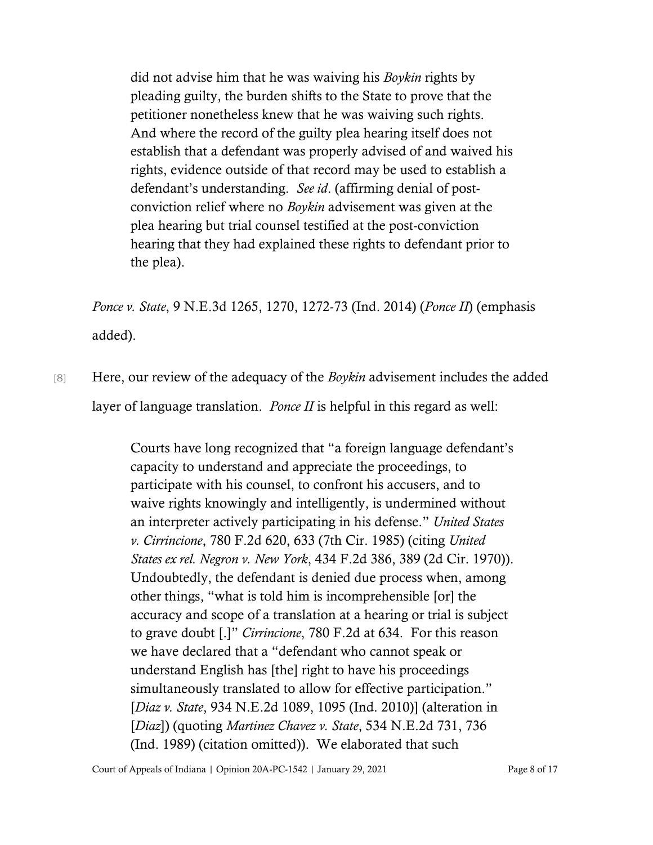did not advise him that he was waiving his *Boykin* rights by pleading guilty, the burden shifts to the State to prove that the petitioner nonetheless knew that he was waiving such rights. And where the record of the guilty plea hearing itself does not establish that a defendant was properly advised of and waived his rights, evidence outside of that record may be used to establish a defendant's understanding. *See id*. (affirming denial of postconviction relief where no *Boykin* advisement was given at the plea hearing but trial counsel testified at the post-conviction hearing that they had explained these rights to defendant prior to the plea).

*Ponce v. State*, 9 N.E.3d 1265, 1270, 1272-73 (Ind. 2014) (*Ponce II*) (emphasis added).

[8] Here, our review of the adequacy of the *Boykin* advisement includes the added layer of language translation. *Ponce II* is helpful in this regard as well:

> Courts have long recognized that "a foreign language defendant's capacity to understand and appreciate the proceedings, to participate with his counsel, to confront his accusers, and to waive rights knowingly and intelligently, is undermined without an interpreter actively participating in his defense." *United States v. Cirrincione*, 780 F.2d 620, 633 (7th Cir. 1985) (citing *United States ex rel. Negron v. New York*, 434 F.2d 386, 389 (2d Cir. 1970)). Undoubtedly, the defendant is denied due process when, among other things, "what is told him is incomprehensible [or] the accuracy and scope of a translation at a hearing or trial is subject to grave doubt [.]" *Cirrincione*, 780 F.2d at 634. For this reason we have declared that a "defendant who cannot speak or understand English has [the] right to have his proceedings simultaneously translated to allow for effective participation." [*Diaz v. State*, 934 N.E.2d 1089, 1095 (Ind. 2010)] (alteration in [*Diaz*]) (quoting *Martinez Chavez v. State*, 534 N.E.2d 731, 736 (Ind. 1989) (citation omitted)). We elaborated that such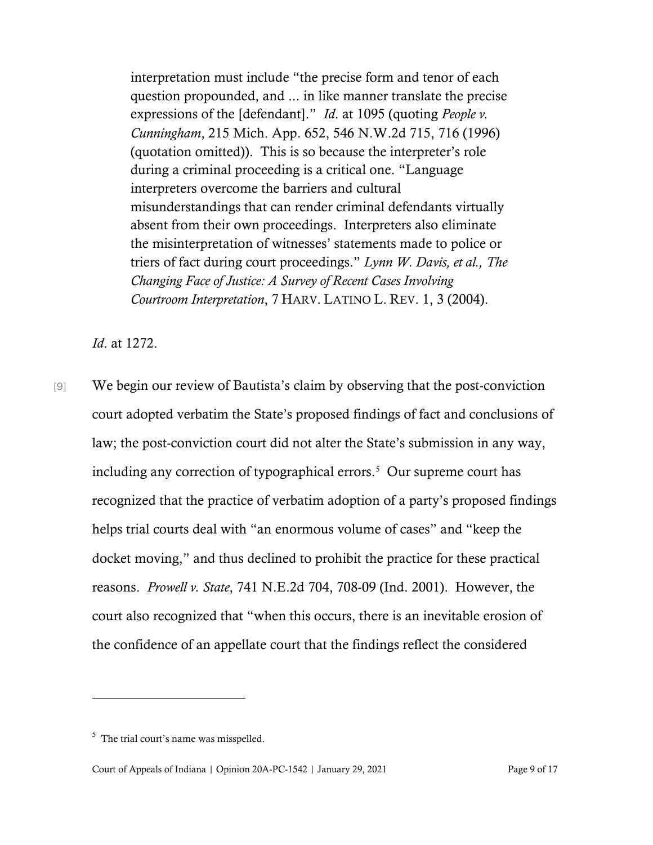interpretation must include "the precise form and tenor of each question propounded, and ... in like manner translate the precise expressions of the [defendant]." *Id*. at 1095 (quoting *People v. Cunningham*, 215 Mich. App. 652, 546 N.W.2d 715, 716 (1996) (quotation omitted)). This is so because the interpreter's role during a criminal proceeding is a critical one. "Language interpreters overcome the barriers and cultural misunderstandings that can render criminal defendants virtually absent from their own proceedings. Interpreters also eliminate the misinterpretation of witnesses' statements made to police or triers of fact during court proceedings." *Lynn W. Davis, et al., The Changing Face of Justice: A Survey of Recent Cases Involving Courtroom Interpretation*, 7 HARV. LATINO L. REV. 1, 3 (2004).

*Id*. at 1272.

[9] We begin our review of Bautista's claim by observing that the post-conviction court adopted verbatim the State's proposed findings of fact and conclusions of law; the post-conviction court did not alter the State's submission in any way, including any correction of typographical errors. [5](#page-8-0) Our supreme court has recognized that the practice of verbatim adoption of a party's proposed findings helps trial courts deal with "an enormous volume of cases" and "keep the docket moving," and thus declined to prohibit the practice for these practical reasons. *Prowell v. State*, 741 N.E.2d 704, 708-09 (Ind. 2001). However, the court also recognized that "when this occurs, there is an inevitable erosion of the confidence of an appellate court that the findings reflect the considered

<span id="page-8-0"></span><sup>&</sup>lt;sup>5</sup> The trial court's name was misspelled.

Court of Appeals of Indiana | Opinion 20A-PC-1542 | January 29, 2021 Page 9 of 17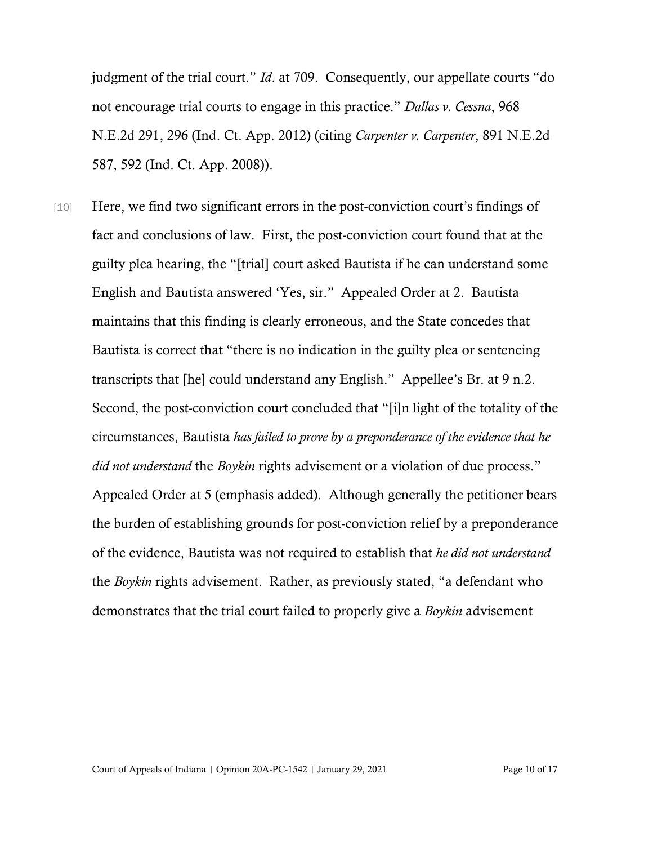judgment of the trial court." *Id*. at 709. Consequently, our appellate courts "do not encourage trial courts to engage in this practice." *Dallas v. Cessna*, 968 N.E.2d 291, 296 (Ind. Ct. App. 2012) (citing *Carpenter v. Carpenter*, 891 N.E.2d 587, 592 (Ind. Ct. App. 2008)).

[10] Here, we find two significant errors in the post-conviction court's findings of fact and conclusions of law. First, the post-conviction court found that at the guilty plea hearing, the "[trial] court asked Bautista if he can understand some English and Bautista answered 'Yes, sir." Appealed Order at 2. Bautista maintains that this finding is clearly erroneous, and the State concedes that Bautista is correct that "there is no indication in the guilty plea or sentencing transcripts that [he] could understand any English." Appellee's Br. at 9 n.2. Second, the post-conviction court concluded that "[i]n light of the totality of the circumstances, Bautista *has failed to prove by a preponderance of the evidence that he did not understand* the *Boykin* rights advisement or a violation of due process." Appealed Order at 5 (emphasis added). Although generally the petitioner bears the burden of establishing grounds for post-conviction relief by a preponderance of the evidence, Bautista was not required to establish that *he did not understand* the *Boykin* rights advisement. Rather, as previously stated, "a defendant who demonstrates that the trial court failed to properly give a *Boykin* advisement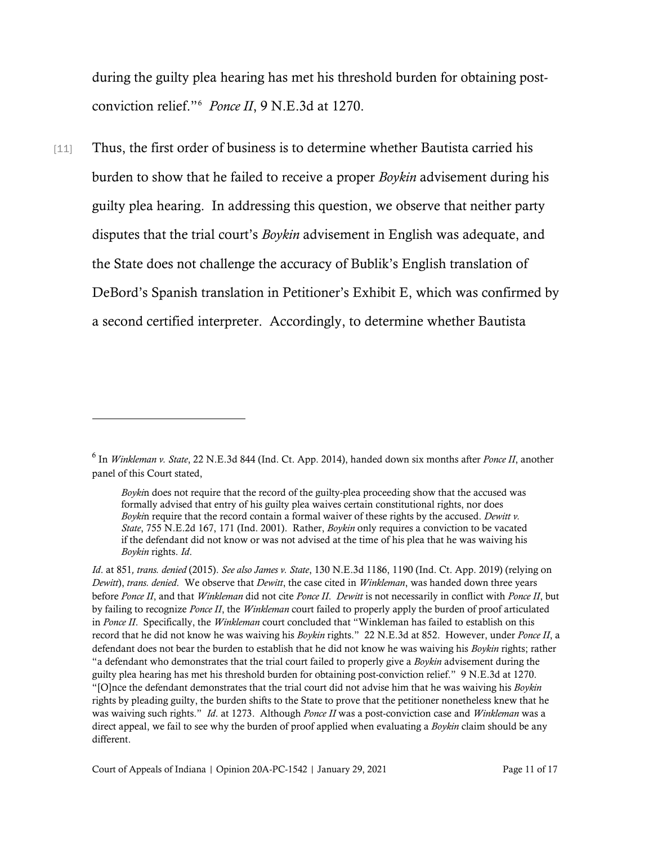during the guilty plea hearing has met his threshold burden for obtaining postconviction relief."[6](#page-10-0) *Ponce II*, 9 N.E.3d at 1270.

[11] Thus, the first order of business is to determine whether Bautista carried his burden to show that he failed to receive a proper *Boykin* advisement during his guilty plea hearing. In addressing this question, we observe that neither party disputes that the trial court's *Boykin* advisement in English was adequate, and the State does not challenge the accuracy of Bublik's English translation of DeBord's Spanish translation in Petitioner's Exhibit E, which was confirmed by a second certified interpreter. Accordingly, to determine whether Bautista

<span id="page-10-0"></span><sup>6</sup> In *Winkleman v. State*, 22 N.E.3d 844 (Ind. Ct. App. 2014), handed down six months after *Ponce II*, another panel of this Court stated,

*Boyki*n does not require that the record of the guilty-plea proceeding show that the accused was formally advised that entry of his guilty plea waives certain constitutional rights, nor does *Boyki*n require that the record contain a formal waiver of these rights by the accused. *Dewitt v. State*, 755 N.E.2d 167, 171 (Ind. 2001). Rather, *Boykin* only requires a conviction to be vacated if the defendant did not know or was not advised at the time of his plea that he was waiving his *Boykin* rights. *Id*.

*Id*. at 851*, trans. denied* (2015). *See also James v. State*, 130 N.E.3d 1186, 1190 (Ind. Ct. App. 2019) (relying on *Dewitt*), *trans. denied*. We observe that *Dewitt*, the case cited in *Winkleman*, was handed down three years before *Ponce II*, and that *Winkleman* did not cite *Ponce II*. *Dewitt* is not necessarily in conflict with *Ponce II*, but by failing to recognize *Ponce II*, the *Winkleman* court failed to properly apply the burden of proof articulated in *Ponce II*. Specifically, the *Winkleman* court concluded that "Winkleman has failed to establish on this record that he did not know he was waiving his *Boykin* rights." 22 N.E.3d at 852. However, under *Ponce II*, a defendant does not bear the burden to establish that he did not know he was waiving his *Boykin* rights; rather "a defendant who demonstrates that the trial court failed to properly give a *Boykin* advisement during the guilty plea hearing has met his threshold burden for obtaining post-conviction relief." 9 N.E.3d at 1270. "[O]nce the defendant demonstrates that the trial court did not advise him that he was waiving his *Boykin* rights by pleading guilty, the burden shifts to the State to prove that the petitioner nonetheless knew that he was waiving such rights." *Id*. at 1273. Although *Ponce II* was a post-conviction case and *Winkleman* was a direct appeal, we fail to see why the burden of proof applied when evaluating a *Boykin* claim should be any different.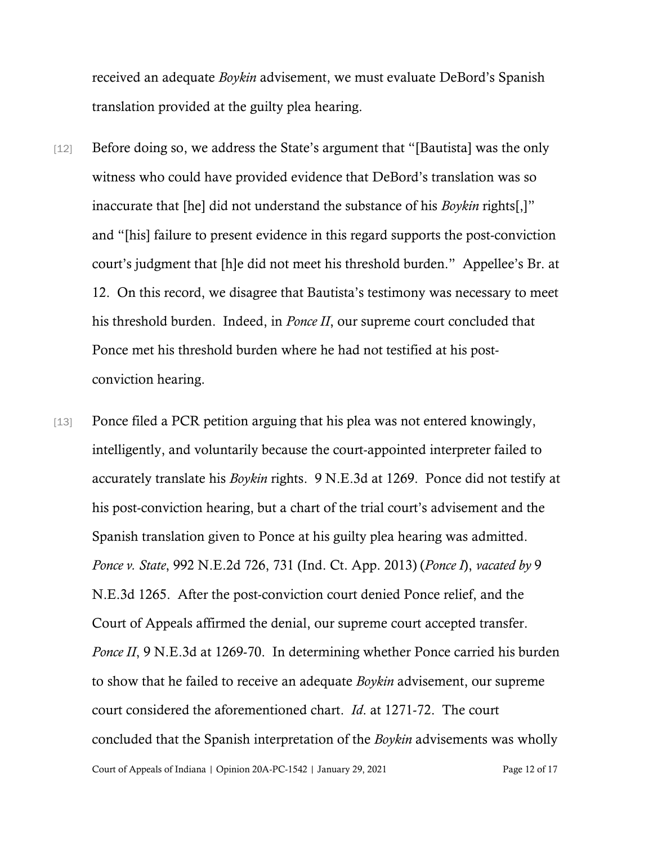received an adequate *Boykin* advisement, we must evaluate DeBord's Spanish translation provided at the guilty plea hearing.

- [12] Before doing so, we address the State's argument that "[Bautista] was the only witness who could have provided evidence that DeBord's translation was so inaccurate that [he] did not understand the substance of his *Boykin* rights[,]" and "[his] failure to present evidence in this regard supports the post-conviction court's judgment that [h]e did not meet his threshold burden." Appellee's Br. at 12. On this record, we disagree that Bautista's testimony was necessary to meet his threshold burden. Indeed, in *Ponce II*, our supreme court concluded that Ponce met his threshold burden where he had not testified at his postconviction hearing.
- Court of Appeals of Indiana | Opinion 20A-PC-1542 | January 29, 2021 Page 12 of 17 [13] Ponce filed a PCR petition arguing that his plea was not entered knowingly, intelligently, and voluntarily because the court-appointed interpreter failed to accurately translate his *Boykin* rights. 9 N.E.3d at 1269. Ponce did not testify at his post-conviction hearing, but a chart of the trial court's advisement and the Spanish translation given to Ponce at his guilty plea hearing was admitted. *Ponce v. State*, 992 N.E.2d 726, 731 (Ind. Ct. App. 2013) (*Ponce I*), *vacated by* 9 N.E.3d 1265. After the post-conviction court denied Ponce relief, and the Court of Appeals affirmed the denial, our supreme court accepted transfer. *Ponce II*, 9 N.E.3d at 1269-70. In determining whether Ponce carried his burden to show that he failed to receive an adequate *Boykin* advisement, our supreme court considered the aforementioned chart. *Id*. at 1271-72. The court concluded that the Spanish interpretation of the *Boykin* advisements was wholly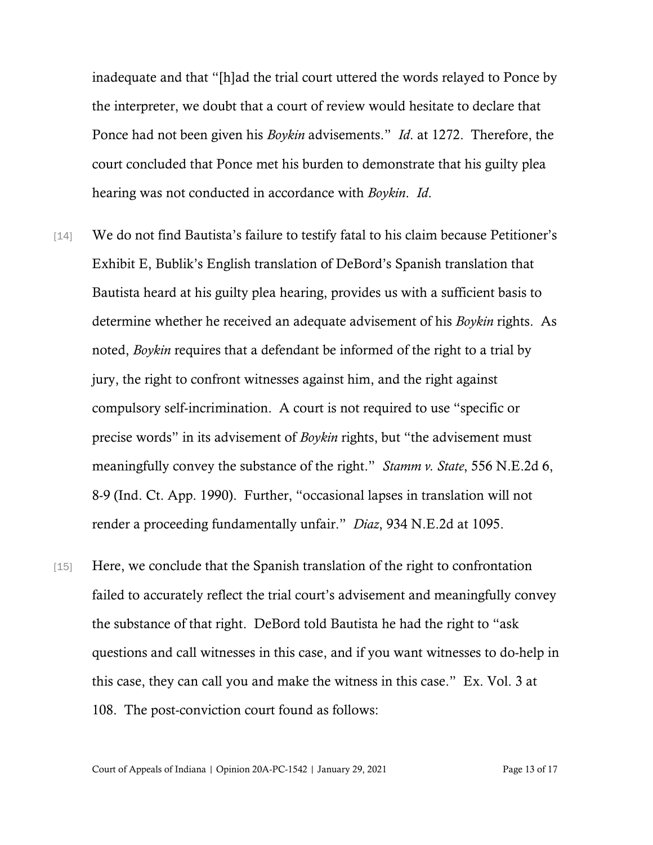inadequate and that "[h]ad the trial court uttered the words relayed to Ponce by the interpreter, we doubt that a court of review would hesitate to declare that Ponce had not been given his *Boykin* advisements." *Id*. at 1272. Therefore, the court concluded that Ponce met his burden to demonstrate that his guilty plea hearing was not conducted in accordance with *Boykin*. *Id*.

- [14] We do not find Bautista's failure to testify fatal to his claim because Petitioner's Exhibit E, Bublik's English translation of DeBord's Spanish translation that Bautista heard at his guilty plea hearing, provides us with a sufficient basis to determine whether he received an adequate advisement of his *Boykin* rights. As noted, *Boykin* requires that a defendant be informed of the right to a trial by jury, the right to confront witnesses against him, and the right against compulsory self-incrimination. A court is not required to use "specific or precise words" in its advisement of *Boykin* rights, but "the advisement must meaningfully convey the substance of the right." *Stamm v. State*, 556 N.E.2d 6, 8-9 (Ind. Ct. App. 1990). Further, "occasional lapses in translation will not render a proceeding fundamentally unfair." *Diaz*, 934 N.E.2d at 1095.
- [15] Here, we conclude that the Spanish translation of the right to confrontation failed to accurately reflect the trial court's advisement and meaningfully convey the substance of that right. DeBord told Bautista he had the right to "ask questions and call witnesses in this case, and if you want witnesses to do-help in this case, they can call you and make the witness in this case." Ex. Vol. 3 at 108. The post-conviction court found as follows:

Court of Appeals of Indiana | Opinion 20A-PC-1542 | January 29, 2021 Page 13 of 17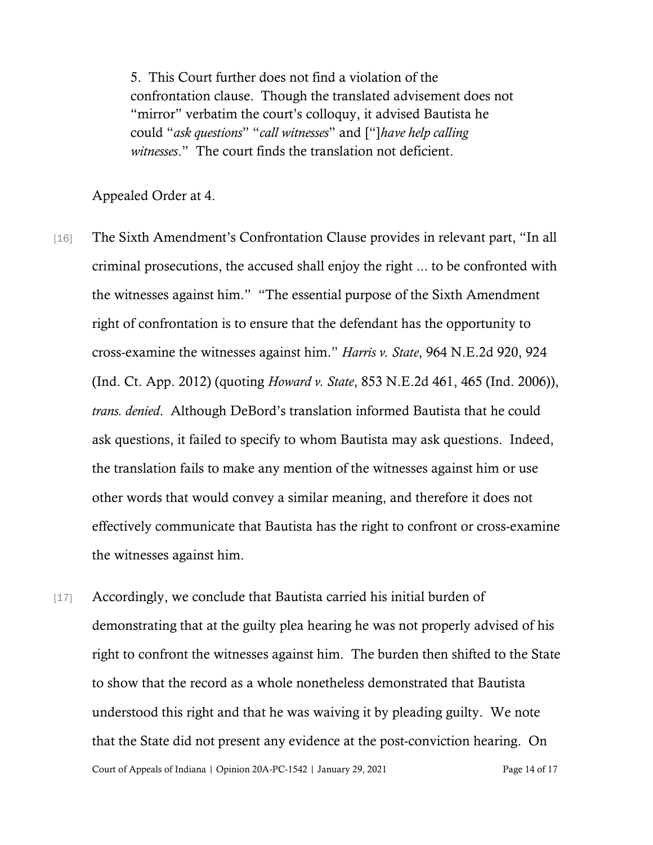5. This Court further does not find a violation of the confrontation clause. Though the translated advisement does not "mirror" verbatim the court's colloquy, it advised Bautista he could "*ask questions*" "*call witnesses*" and ["]*have help calling witnesses*." The court finds the translation not deficient.

Appealed Order at 4.

- [16] The Sixth Amendment's Confrontation Clause provides in relevant part, "In all criminal prosecutions, the accused shall enjoy the right ... to be confronted with the witnesses against him." "The essential purpose of the Sixth Amendment right of confrontation is to ensure that the defendant has the opportunity to cross-examine the witnesses against him." *Harris v. State*, 964 N.E.2d 920, 924 (Ind. Ct. App. 2012) (quoting *Howard v. State*, 853 N.E.2d 461, 465 (Ind. 2006)), *trans. denied*. Although DeBord's translation informed Bautista that he could ask questions, it failed to specify to whom Bautista may ask questions. Indeed, the translation fails to make any mention of the witnesses against him or use other words that would convey a similar meaning, and therefore it does not effectively communicate that Bautista has the right to confront or cross-examine the witnesses against him.
- Court of Appeals of Indiana | Opinion 20A-PC-1542 | January 29, 2021 Page 14 of 17 [17] Accordingly, we conclude that Bautista carried his initial burden of demonstrating that at the guilty plea hearing he was not properly advised of his right to confront the witnesses against him. The burden then shifted to the State to show that the record as a whole nonetheless demonstrated that Bautista understood this right and that he was waiving it by pleading guilty. We note that the State did not present any evidence at the post-conviction hearing. On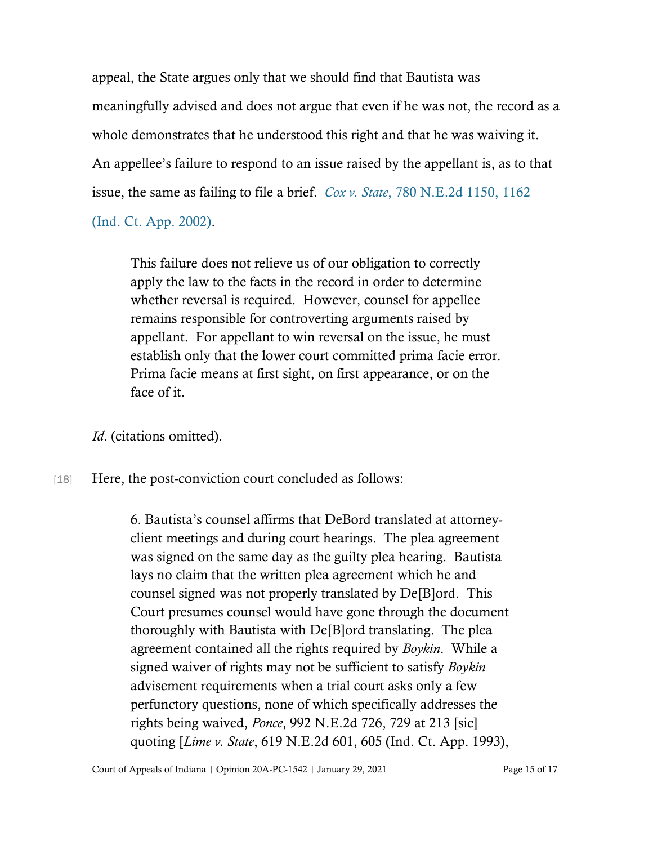appeal, the State argues only that we should find that Bautista was meaningfully advised and does not argue that even if he was not, the record as a whole demonstrates that he understood this right and that he was waiving it. An appellee's failure to respond to an issue raised by the appellant is, as to that issue, the same as failing to file a brief. *Cox v. State*[, 780 N.E.2d 1150, 1162](https://www.westlaw.com/Document/I206ce149d39311d983e7e9deff98dc6f/View/FullText.html?transitionType=Default&contextData=(sc.Default)&VR=3.0&RS=da3.0&fragmentIdentifier=co_pp_sp_578_1162) 

[\(Ind. Ct. App. 2002\).](https://www.westlaw.com/Document/I206ce149d39311d983e7e9deff98dc6f/View/FullText.html?transitionType=Default&contextData=(sc.Default)&VR=3.0&RS=da3.0&fragmentIdentifier=co_pp_sp_578_1162)

This failure does not relieve us of our obligation to correctly apply the law to the facts in the record in order to determine whether reversal is required. However, counsel for appellee remains responsible for controverting arguments raised by appellant. For appellant to win reversal on the issue, he must establish only that the lower court committed prima facie error. Prima facie means at first sight, on first appearance, or on the face of it.

*Id*. (citations omitted).

[18] Here, the post-conviction court concluded as follows:

6. Bautista's counsel affirms that DeBord translated at attorneyclient meetings and during court hearings. The plea agreement was signed on the same day as the guilty plea hearing. Bautista lays no claim that the written plea agreement which he and counsel signed was not properly translated by De[B]ord. This Court presumes counsel would have gone through the document thoroughly with Bautista with De[B]ord translating. The plea agreement contained all the rights required by *Boykin*. While a signed waiver of rights may not be sufficient to satisfy *Boykin* advisement requirements when a trial court asks only a few perfunctory questions, none of which specifically addresses the rights being waived, *Ponce*, 992 N.E.2d 726, 729 at 213 [sic] quoting [*Lime v. State*, 619 N.E.2d 601, 605 (Ind. Ct. App. 1993),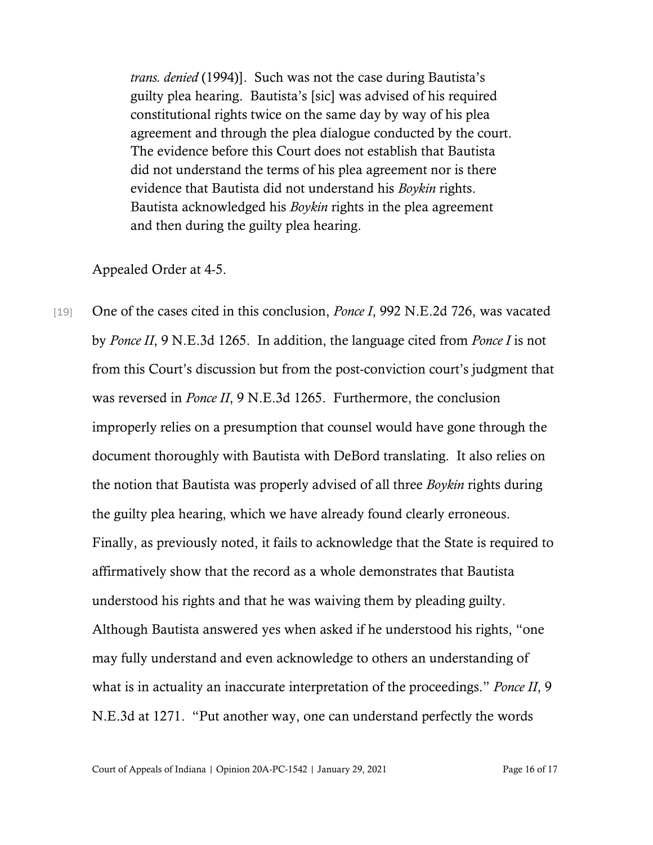*trans. denied* (1994)]. Such was not the case during Bautista's guilty plea hearing. Bautista's [sic] was advised of his required constitutional rights twice on the same day by way of his plea agreement and through the plea dialogue conducted by the court. The evidence before this Court does not establish that Bautista did not understand the terms of his plea agreement nor is there evidence that Bautista did not understand his *Boykin* rights. Bautista acknowledged his *Boykin* rights in the plea agreement and then during the guilty plea hearing.

Appealed Order at 4-5.

[19] One of the cases cited in this conclusion, *Ponce I*, 992 N.E.2d 726, was vacated by *Ponce II*, 9 N.E.3d 1265. In addition, the language cited from *Ponce I* is not from this Court's discussion but from the post-conviction court's judgment that was reversed in *Ponce II*, 9 N.E.3d 1265. Furthermore, the conclusion improperly relies on a presumption that counsel would have gone through the document thoroughly with Bautista with DeBord translating. It also relies on the notion that Bautista was properly advised of all three *Boykin* rights during the guilty plea hearing, which we have already found clearly erroneous. Finally, as previously noted, it fails to acknowledge that the State is required to affirmatively show that the record as a whole demonstrates that Bautista understood his rights and that he was waiving them by pleading guilty. Although Bautista answered yes when asked if he understood his rights, "one may fully understand and even acknowledge to others an understanding of what is in actuality an inaccurate interpretation of the proceedings." *Ponce II*, 9 N.E.3d at 1271. "Put another way, one can understand perfectly the words

Court of Appeals of Indiana | Opinion 20A-PC-1542 | January 29, 2021 Page 16 of 17